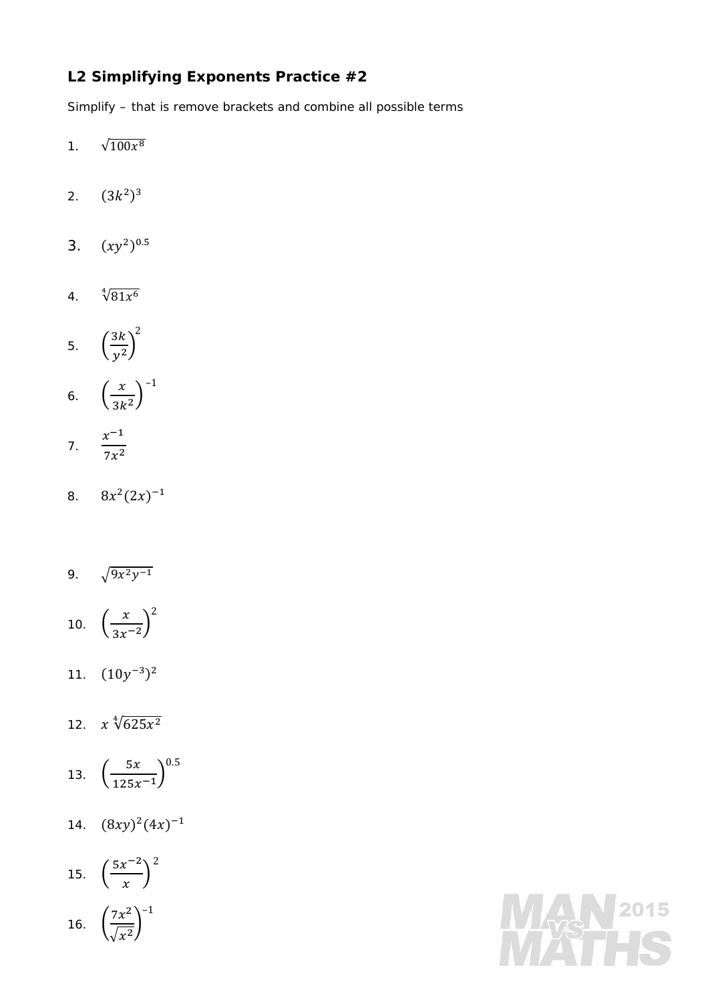## **L2 Simplifying Exponents Practice #2**

Simplify – that is remove brackets and combine all possible terms

- 1.  $\sqrt{100x^8}$
- 2.  $(3k^2)^3$
- 3.  $(xy^2)^{0.5}$
- 4.  $\sqrt[4]{81x^6}$

$$
5. \quad \left(\frac{3k}{y^2}\right)^2
$$

6.  $\left(\frac{x}{3k^2}\right)^{-1}$ 

$$
7. \quad \frac{x^{-1}}{7x^2}
$$

- 8.  $8x^2(2x)^{-1}$
- 9.  $\sqrt{9x^2y^{-1}}$
- 10.  $\left(\frac{x}{3x^{-2}}\right)^2$
- 11.  $(10y^{-3})^2$
- 12.  $x \sqrt[4]{625x^2}$

13. 
$$
\left(\frac{5x}{125x^{-1}}\right)^{0.5}
$$

14.  $(8xy)^2(4x)^{-1}$ 

15. 
$$
\left(\frac{5x^{-2}}{x}\right)^2
$$
  
16. 
$$
\left(\frac{7x^2}{\sqrt{x^2}}\right)^{-1}
$$